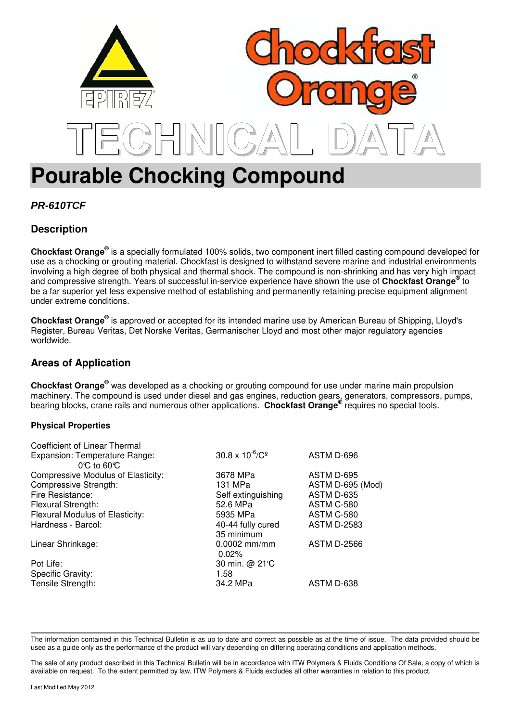

# **Pourable Chocking Compound**

# **PR-610TCF**

# **Description**

**Chockfast Orange®** is a specially formulated 100% solids, two component inert filled casting compound developed for use as a chocking or grouting material. Chockfast is designed to withstand severe marine and industrial environments involving a high degree of both physical and thermal shock. The compound is non-shrinking and has very high impact and compressive strength. Years of successful in-service experience have shown the use of **Chockfast Orange®** to be a far superior yet less expensive method of establishing and permanently retaining precise equipment alignment under extreme conditions.

**Chockfast Orange®** is approved or accepted for its intended marine use by American Bureau of Shipping, Lloyd's Register, Bureau Veritas, Det Norske Veritas, Germanischer Lloyd and most other major regulatory agencies worldwide.

## **Areas of Application**

**Chockfast Orange®** was developed as a chocking or grouting compound for use under marine main propulsion machinery. The compound is used under diesel and gas engines, reduction gears, generators, compressors, pumps, bearing blocks, crane rails and numerous other applications. **Chockfast Orange®** requires no special tools.

### **Physical Properties**

| Coefficient of Linear Thermal      |                                       |                    |
|------------------------------------|---------------------------------------|--------------------|
| Expansion: Temperature Range:      | $30.8 \times 10^{-6}$ /C <sup>o</sup> | ASTM D-696         |
| $0^\circ$ to 60 $^\circ$           |                                       |                    |
| Compressive Modulus of Elasticity: | 3678 MPa                              | ASTM D-695         |
| Compressive Strength:              | 131 MPa                               | ASTM D-695 (Mod)   |
| Fire Resistance:                   | Self extinguishing                    | ASTM D-635         |
| Flexural Strength:                 | 52.6 MPa                              | ASTM C-580         |
| Flexural Modulus of Elasticity:    | 5935 MPa                              | ASTM C-580         |
| Hardness - Barcol:                 | 40-44 fully cured                     | <b>ASTM D-2583</b> |
|                                    | 35 minimum                            |                    |
| Linear Shrinkage:                  | $0.0002$ mm/mm                        | <b>ASTM D-2566</b> |
|                                    | 0.02%                                 |                    |
| Pot Life:                          | 30 min. @ 21°C                        |                    |
| Specific Gravity:                  | 1.58                                  |                    |
| Tensile Strength:                  | 34.2 MPa                              | ASTM D-638         |
|                                    |                                       |                    |

The information contained in this Technical Bulletin is as up to date and correct as possible as at the time of issue. The data provided should be used as a guide only as the performance of the product will vary depending on differing operating conditions and application methods.

The sale of any product described in this Technical Bulletin will be in accordance with ITW Polymers & Fluids Conditions Of Sale, a copy of which is available on request. To the extent permitted by law, ITW Polymers & Fluids excludes all other warranties in relation to this product.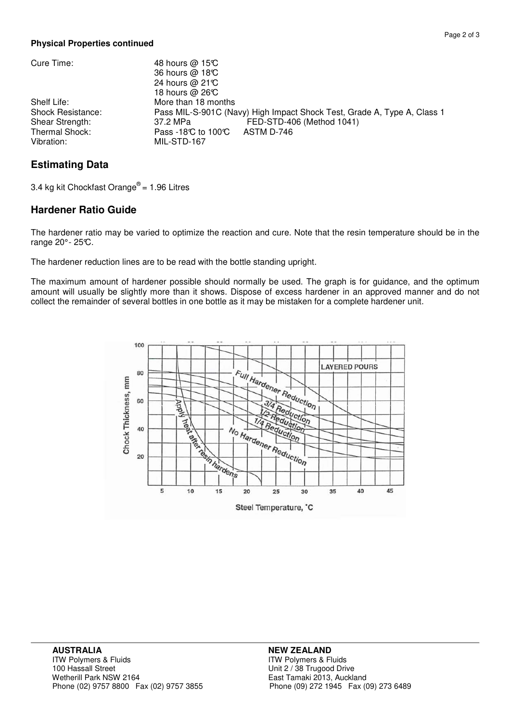### **Physical Properties continued**

| Cure Time:                                                                                 | 48 hours @ 15°C<br>36 hours @ 18°C<br>24 hours @ 21°C<br>18 hours $@$ 26°C                                                                                                             |
|--------------------------------------------------------------------------------------------|----------------------------------------------------------------------------------------------------------------------------------------------------------------------------------------|
| Shelf Life:<br><b>Shock Resistance:</b><br>Shear Strength:<br>Thermal Shock:<br>Vibration: | More than 18 months<br>Pass MIL-S-901C (Navy) High Impact Shock Test, Grade A, Type A, Class 1<br>FED-STD-406 (Method 1041)<br>37.2 MPa<br>Pass -18℃ to 100℃ ASTM D-746<br>MIL-STD-167 |

## **Estimating Data**

3.4 kg kit Chockfast Orange $^{\circledR}$  = 1.96 Litres

### **Hardener Ratio Guide**

The hardener ratio may be varied to optimize the reaction and cure. Note that the resin temperature should be in the range  $20^\circ$ -  $25^\circ$ C.

The hardener reduction lines are to be read with the bottle standing upright.

The maximum amount of hardener possible should normally be used. The graph is for guidance, and the optimum amount will usually be slightly more than it shows. Dispose of excess hardener in an approved manner and do not collect the remainder of several bottles in one bottle as it may be mistaken for a complete hardener unit.



ITW Polymers & Fluids East Tamaki 2013, Auckland<br>Phone (09) 272 1945 Fax (09) 273 6489